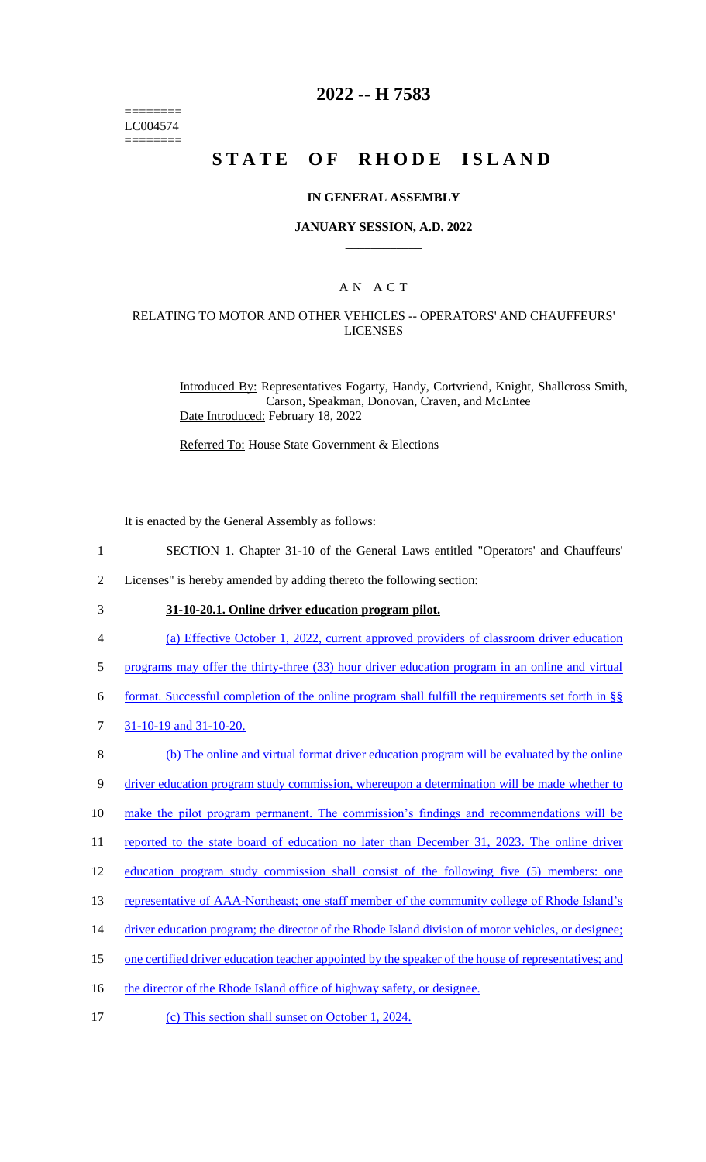======== LC004574 ========

## **2022 -- H 7583**

# **STATE OF RHODE ISLAND**

#### **IN GENERAL ASSEMBLY**

#### **JANUARY SESSION, A.D. 2022 \_\_\_\_\_\_\_\_\_\_\_\_**

### A N A C T

### RELATING TO MOTOR AND OTHER VEHICLES -- OPERATORS' AND CHAUFFEURS' LICENSES

Introduced By: Representatives Fogarty, Handy, Cortvriend, Knight, Shallcross Smith, Carson, Speakman, Donovan, Craven, and McEntee Date Introduced: February 18, 2022

Referred To: House State Government & Elections

It is enacted by the General Assembly as follows:

- 1 SECTION 1. Chapter 31-10 of the General Laws entitled "Operators' and Chauffeurs'
- 2 Licenses" is hereby amended by adding thereto the following section:
- 

# 3 **31-10-20.1. Online driver education program pilot.**

- 4 (a) Effective October 1, 2022, current approved providers of classroom driver education
- 5 programs may offer the thirty-three (33) hour driver education program in an online and virtual
- 6 format. Successful completion of the online program shall fulfill the requirements set forth in §§
- 7 31-10-19 and 31-10-20.
- 8 (b) The online and virtual format driver education program will be evaluated by the online
- 9 driver education program study commission, whereupon a determination will be made whether to
- 10 make the pilot program permanent. The commission's findings and recommendations will be
- 11 reported to the state board of education no later than December 31, 2023. The online driver
- 12 education program study commission shall consist of the following five (5) members: one
- 13 representative of AAA-Northeast; one staff member of the community college of Rhode Island's
- 14 driver education program; the director of the Rhode Island division of motor vehicles, or designee;
- 15 one certified driver education teacher appointed by the speaker of the house of representatives; and
- 16 the director of the Rhode Island office of highway safety, or designee.
- 17 (c) This section shall sunset on October 1, 2024.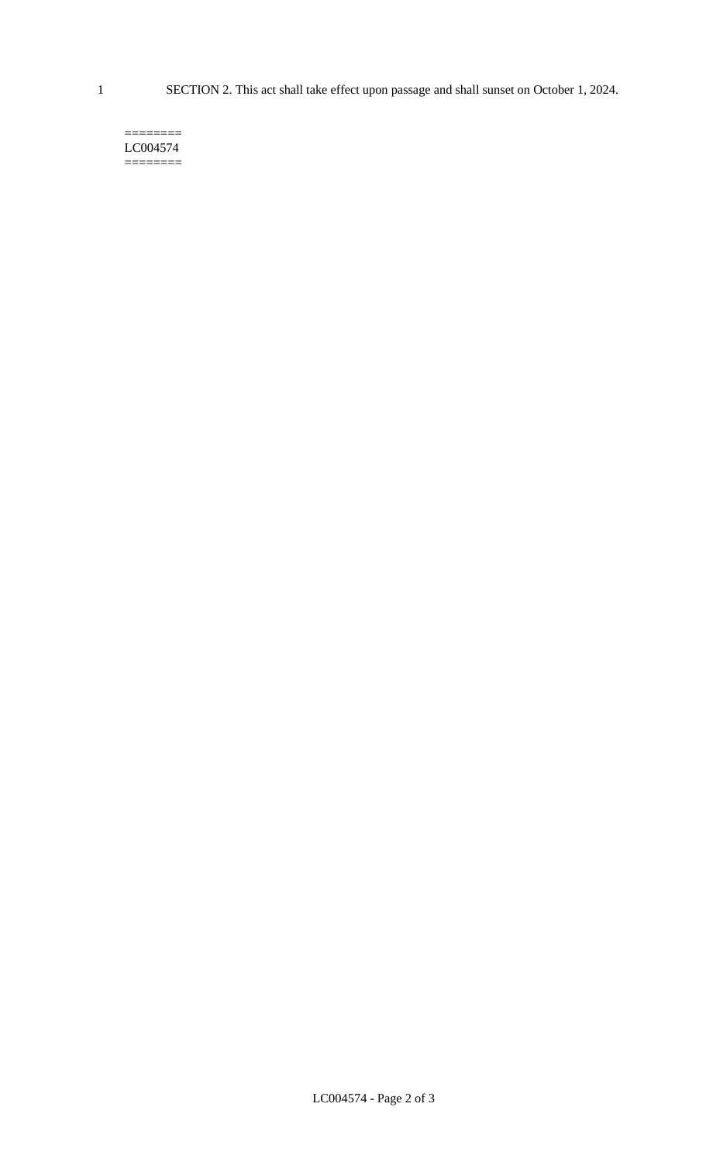